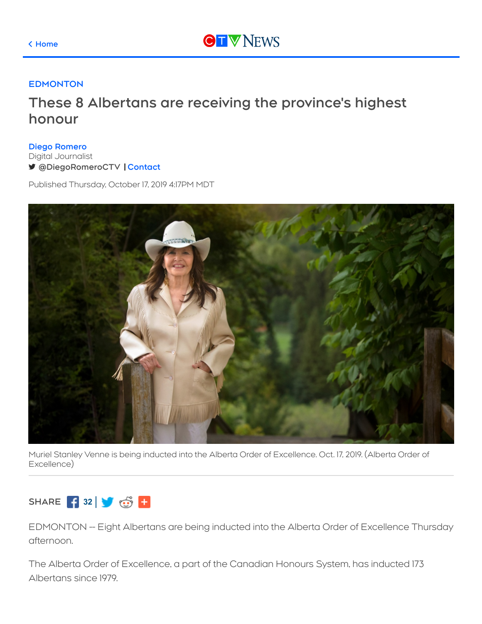

## **[EDMONTON](https://edmonton.ctvnews.ca/)**

## **These 8 Albertans are receiving the province's highest honour**

**Diego [Romero](https://edmonton.ctvnews.ca/more/ctv-edmonton-personalities/diego-romero-1.4375765)** Digital Journalist **[@DiegoRomeroCTV](https://twitter.com/DiegoRomeroCTV) [Contact](https://edmonton.ctvnews.ca/more/ctv-edmonton-personalities/diego-romero-1.4375765?contactForm=true)**

Published Thursday, October 17, 2019 4:17PM MDT



Muriel Stanley Venne is being inducted into the Alberta Order of Excellence. Oct. 17, 2019. (Alberta Order of Excellence)

## **SHARE 32**

EDMONTON -- Eight Albertans are being inducted into the Alberta Order of Excellence Thursday afternoon.

The Alberta Order of Excellence, a part of the Canadian Honours System, has inducted 173 Albertans since 1979.